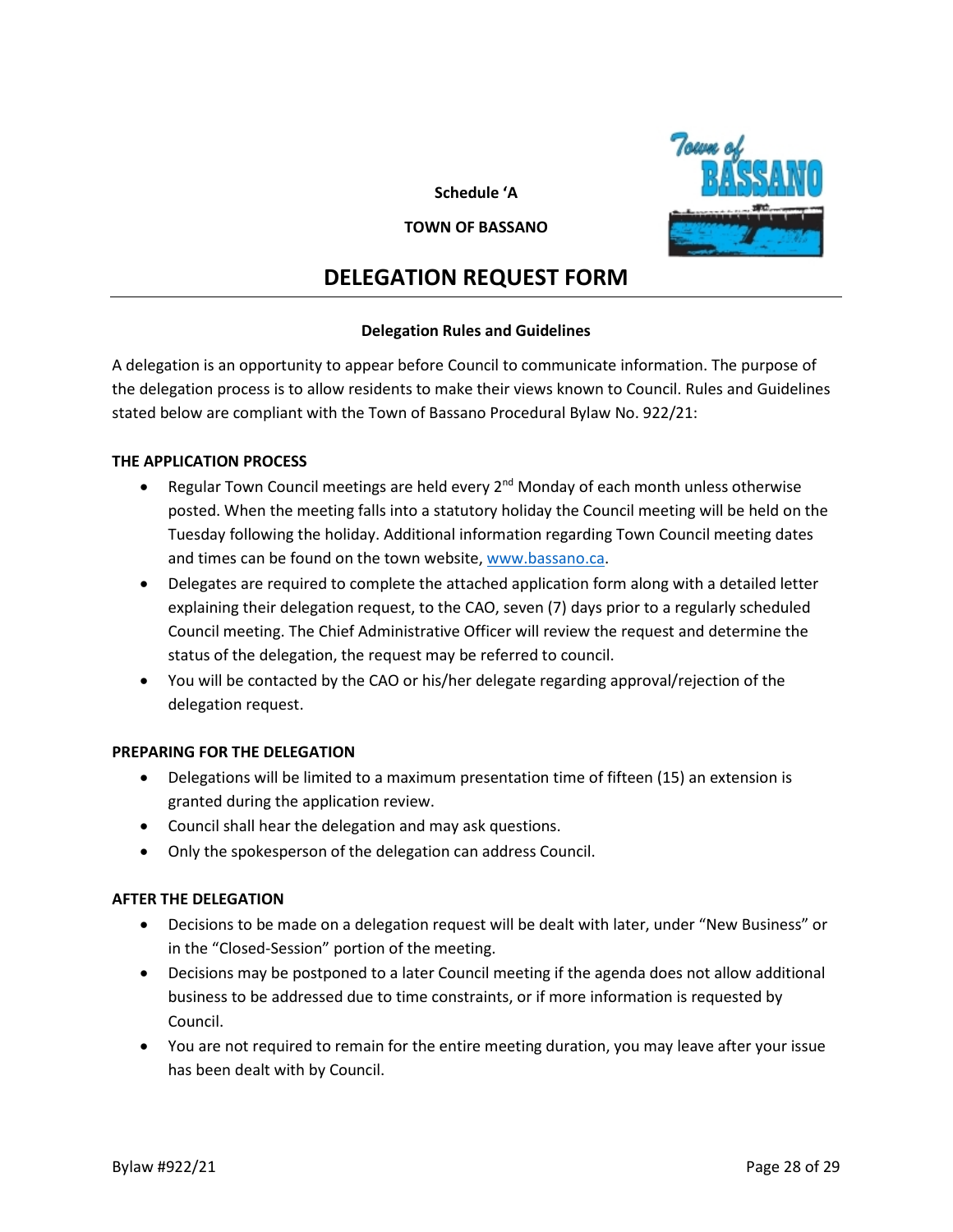**Schedule 'A**



#### **TOWN OF BASSANO**

# **DELEGATION REQUEST FORM**

# **Delegation Rules and Guidelines**

A delegation is an opportunity to appear before Council to communicate information. The purpose of the delegation process is to allow residents to make their views known to Council. Rules and Guidelines stated below are compliant with the Town of Bassano Procedural Bylaw No. 922/21:

# **THE APPLICATION PROCESS**

- Regular Town Council meetings are held every  $2^{nd}$  Monday of each month unless otherwise posted. When the meeting falls into a statutory holiday the Council meeting will be held on the Tuesday following the holiday. Additional information regarding Town Council meeting dates and times can be found on the town website, [www.bassano.ca.](http://www.bassano.ca/)
- Delegates are required to complete the attached application form along with a detailed letter explaining their delegation request, to the CAO, seven (7) days prior to a regularly scheduled Council meeting. The Chief Administrative Officer will review the request and determine the status of the delegation, the request may be referred to council.
- You will be contacted by the CAO or his/her delegate regarding approval/rejection of the delegation request.

### **PREPARING FOR THE DELEGATION**

- Delegations will be limited to a maximum presentation time of fifteen (15) an extension is granted during the application review.
- Council shall hear the delegation and may ask questions.
- Only the spokesperson of the delegation can address Council.

### **AFTER THE DELEGATION**

- Decisions to be made on a delegation request will be dealt with later, under "New Business" or in the "Closed-Session" portion of the meeting.
- Decisions may be postponed to a later Council meeting if the agenda does not allow additional business to be addressed due to time constraints, or if more information is requested by Council.
- You are not required to remain for the entire meeting duration, you may leave after your issue has been dealt with by Council.